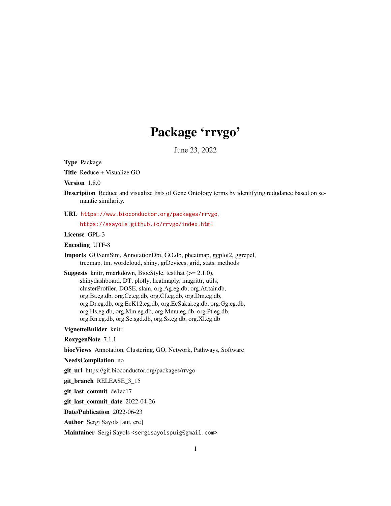# Package 'rrvgo'

June 23, 2022

Type Package

Title Reduce + Visualize GO

Version 1.8.0

Description Reduce and visualize lists of Gene Ontology terms by identifying redudance based on semantic similarity.

URL <https://www.bioconductor.org/packages/rrvgo>,

<https://ssayols.github.io/rrvgo/index.html>

License GPL-3

Encoding UTF-8

Imports GOSemSim, AnnotationDbi, GO.db, pheatmap, ggplot2, ggrepel, treemap, tm, wordcloud, shiny, grDevices, grid, stats, methods

**Suggests** knitr, rmarkdown, BiocStyle, test that  $(>= 2.1.0)$ , shinydashboard, DT, plotly, heatmaply, magrittr, utils, clusterProfiler, DOSE, slam, org.Ag.eg.db, org.At.tair.db, org.Bt.eg.db, org.Ce.eg.db, org.Cf.eg.db, org.Dm.eg.db, org.Dr.eg.db, org.EcK12.eg.db, org.EcSakai.eg.db, org.Gg.eg.db, org.Hs.eg.db, org.Mm.eg.db, org.Mmu.eg.db, org.Pt.eg.db, org.Rn.eg.db, org.Sc.sgd.db, org.Ss.eg.db, org.Xl.eg.db

VignetteBuilder knitr

RoxygenNote 7.1.1

biocViews Annotation, Clustering, GO, Network, Pathways, Software

NeedsCompilation no

git\_url https://git.bioconductor.org/packages/rrvgo

git\_branch RELEASE\_3\_15

git\_last\_commit de1ac17

git last commit date 2022-04-26

Date/Publication 2022-06-23

Author Sergi Sayols [aut, cre]

Maintainer Sergi Sayols <sergisayolspuig@gmail.com>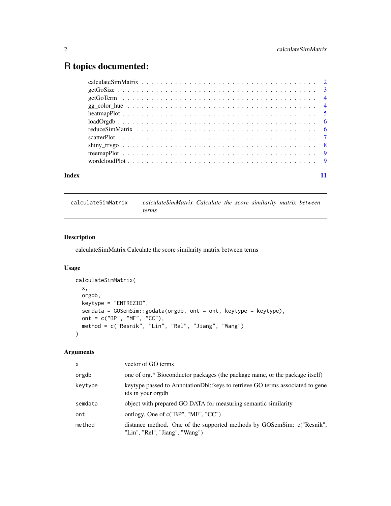# <span id="page-1-0"></span>R topics documented:

| Index |  |
|-------|--|

calculateSimMatrix *calculateSimMatrix Calculate the score similarity matrix between terms*

# Description

calculateSimMatrix Calculate the score similarity matrix between terms

# Usage

```
calculateSimMatrix(
 x,
 orgdb,
 keytype = "ENTREZID",
 semdata = GOSemSim::godata(orgdb, ont = ont, keytype = keytype),
 ont = c("BP", "MF", "CC"),
 method = c("Resnik", "Lin", "Rel", "Jiang", "Wang")
)
```
# Arguments

| $\mathsf{x}$ | vector of GO terms                                                                                       |
|--------------|----------------------------------------------------------------------------------------------------------|
| orgdb        | one of org.* Bioconductor packages (the package name, or the package itself)                             |
| keytype      | keytype passed to AnnotationDbi: keys to retrieve GO terms associated to gene<br>ids in your orgdb       |
| semdata      | object with prepared GO DATA for measuring semantic similarity                                           |
| ont          | ontlogy. One of $c("BP", "MF", "CC")$                                                                    |
| method       | distance method. One of the supported methods by GOSemSim: c("Resnik",<br>"Lin", "Rel", "Jiang", "Wang") |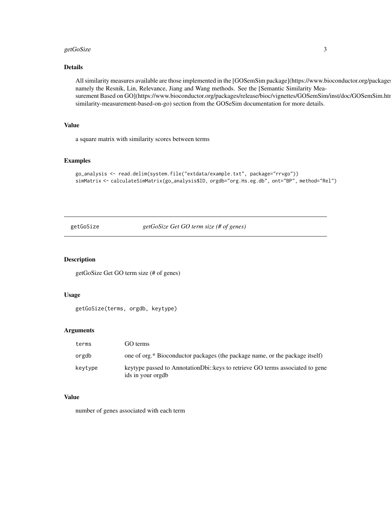# <span id="page-2-0"></span>getGoSize 3

# Details

All similarity measures available are those implemented in the [GOSemSim package](https://www.bioconductor.org/package namely the Resnik, Lin, Relevance, Jiang and Wang methods. See the [Semantic Similarity Measurement Based on GO](https://www.bioconductor.org/packages/release/bioc/vignettes/GOSemSim/inst/doc/GOSemSim.htm similarity-measurement-based-on-go) section from the GOSeSim documentation for more details.

# Value

a square matrix with similarity scores between terms

### Examples

```
go_analysis <- read.delim(system.file("extdata/example.txt", package="rrvgo"))
simMatrix <- calculateSimMatrix(go_analysis$ID, orgdb="org.Hs.eg.db", ont="BP", method="Rel")
```
getGoSize *getGoSize Get GO term size (# of genes)*

# Description

getGoSize Get GO term size (# of genes)

#### Usage

```
getGoSize(terms, orgdb, keytype)
```
# Arguments

| terms   | GO terms                                                                                             |
|---------|------------------------------------------------------------------------------------------------------|
| orgdb   | one of org.* Bioconductor packages (the package name, or the package itself)                         |
| keytype | key type passed to Annotation Dbi: keys to retrieve GO terms associated to gene<br>ids in your orgdb |

# Value

number of genes associated with each term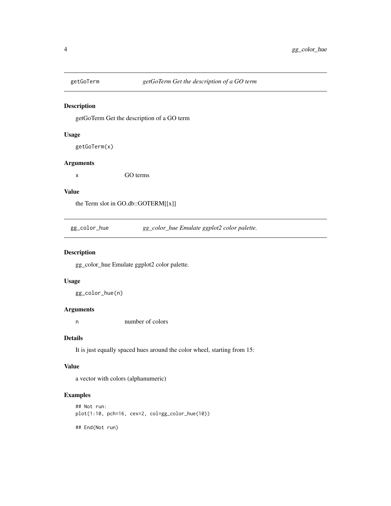<span id="page-3-0"></span>

getGoTerm Get the description of a GO term

# Usage

getGoTerm(x)

# Arguments

x GO terms

# Value

the Term slot in GO.db::GOTERM[[x]]

gg\_color\_hue *gg\_color\_hue Emulate ggplot2 color palette.*

# Description

gg\_color\_hue Emulate ggplot2 color palette.

# Usage

gg\_color\_hue(n)

# Arguments

n number of colors

# Details

It is just equally spaced hues around the color wheel, starting from 15:

# Value

a vector with colors (alphanumeric)

# Examples

```
## Not run:
plot(1:10, pch=16, cex=2, col=gg_color_hue(10))
## End(Not run)
```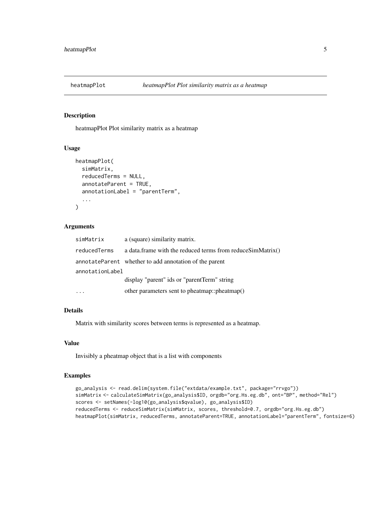<span id="page-4-0"></span>

heatmapPlot Plot similarity matrix as a heatmap

#### Usage

```
heatmapPlot(
  simMatrix,
  reducedTerms = NULL,
  annotateParent = TRUE,
  annotationLabel = "parentTerm",
  ...
\mathcal{E}
```
# Arguments

| simMatrix       | a (square) similarity matrix.                              |
|-----------------|------------------------------------------------------------|
| reducedTerms    | a data.frame with the reduced terms from reduceSimMatrix() |
|                 | annotateParent whether to add annotation of the parent     |
| annotationLabel |                                                            |
|                 | display "parent" ids or "parentTerm" string                |
|                 | other parameters sent to pheatmap::pheatmap()              |

# Details

Matrix with similarity scores between terms is represented as a heatmap.

#### Value

Invisibly a pheatmap object that is a list with components

# Examples

```
go_analysis <- read.delim(system.file("extdata/example.txt", package="rrvgo"))
simMatrix <- calculateSimMatrix(go_analysis$ID, orgdb="org.Hs.eg.db", ont="BP", method="Rel")
scores <- setNames(-log10(go_analysis$qvalue), go_analysis$ID)
reducedTerms <- reduceSimMatrix(simMatrix, scores, threshold=0.7, orgdb="org.Hs.eg.db")
heatmapPlot(simMatrix, reducedTerms, annotateParent=TRUE, annotationLabel="parentTerm", fontsize=6)
```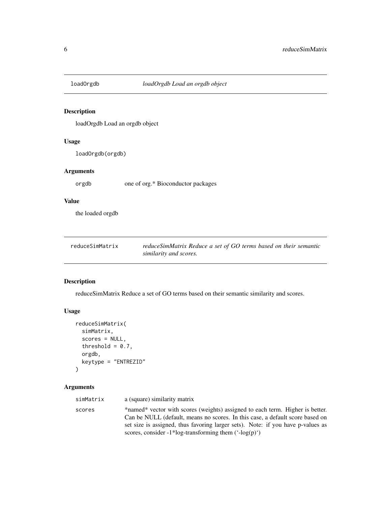<span id="page-5-0"></span>

loadOrgdb Load an orgdb object

# Usage

loadOrgdb(orgdb)

# Arguments

orgdb one of org.\* Bioconductor packages

# Value

the loaded orgdb

| reduceSimMatrix | reduceSimMatrix Reduce a set of GO terms based on their semantic |
|-----------------|------------------------------------------------------------------|
|                 | similarity and scores.                                           |

# Description

reduceSimMatrix Reduce a set of GO terms based on their semantic similarity and scores.

# Usage

```
reduceSimMatrix(
  simMatrix,
  scores = NULL,
  threshold = 0.7,
 orgdb,
 keytype = "ENTREZID"
)
```
# Arguments

| simMatrix | a (square) similarity matrix                                                                                                                                                                                                                                                                                                |
|-----------|-----------------------------------------------------------------------------------------------------------------------------------------------------------------------------------------------------------------------------------------------------------------------------------------------------------------------------|
| scores    | *named* vector with scores (weights) assigned to each term. Higher is better.<br>Can be NULL (default, means no scores. In this case, a default score based on<br>set size is assigned, thus favoring larger sets). Note: if you have p-values as<br>scores, consider -1*log-transforming them $(\text{--log}(p)^{\prime})$ |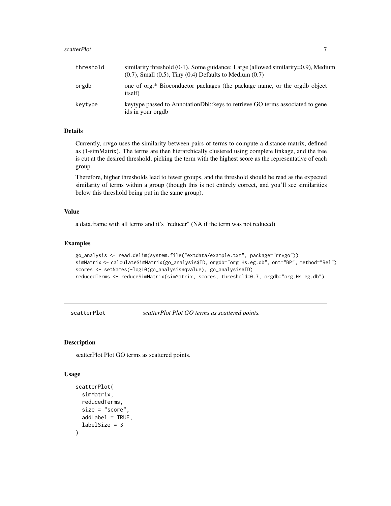#### <span id="page-6-0"></span>scatterPlot 7

| threshold | similarity threshold $(0-1)$ . Some guidance: Large (allowed similarity= $0.9$ ), Medium<br>$(0.7)$ , Small $(0.5)$ , Tiny $(0.4)$ Defaults to Medium $(0.7)$ |
|-----------|---------------------------------------------------------------------------------------------------------------------------------------------------------------|
| orgdb     | one of org.* Bioconductor packages (the package name, or the orgdb object<br><i>itself</i> )                                                                  |
| keytype   | keytype passed to AnnotationDbi:: keys to retrieve GO terms associated to gene<br>ids in your orgdb                                                           |

# Details

Currently, rrvgo uses the similarity between pairs of terms to compute a distance matrix, defined as (1-simMatrix). The terms are then hierarchically clustered using complete linkage, and the tree is cut at the desired threshold, picking the term with the highest score as the representative of each group.

Therefore, higher thresholds lead to fewer groups, and the threshold should be read as the expected similarity of terms within a group (though this is not entirely correct, and you'll see similarities below this threshold being put in the same group).

# Value

a data.frame with all terms and it's "reducer" (NA if the term was not reduced)

# Examples

```
go_analysis <- read.delim(system.file("extdata/example.txt", package="rrvgo"))
simMatrix <- calculateSimMatrix(go_analysis$ID, orgdb="org.Hs.eg.db", ont="BP", method="Rel")
scores <- setNames(-log10(go_analysis$qvalue), go_analysis$ID)
reducedTerms <- reduceSimMatrix(simMatrix, scores, threshold=0.7, orgdb="org.Hs.eg.db")
```
scatterPlot *scatterPlot Plot GO terms as scattered points.*

# Description

scatterPlot Plot GO terms as scattered points.

#### Usage

```
scatterPlot(
  simMatrix,
  reducedTerms,
  size = "score",
  addLabel = TRUE,labelSize = 3
)
```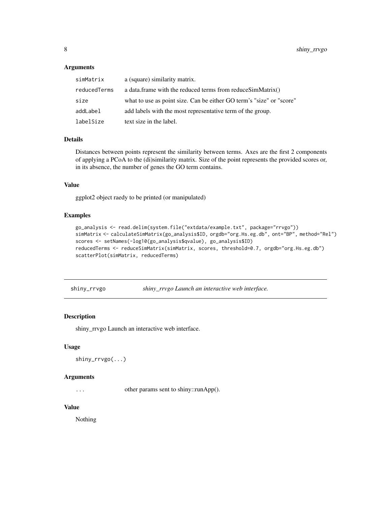#### <span id="page-7-0"></span>Arguments

| simMatrix    | a (square) similarity matrix.                                        |
|--------------|----------------------------------------------------------------------|
| reducedTerms | a data.frame with the reduced terms from reduceSimMatrix()           |
| size         | what to use as point size. Can be either GO term's "size" or "score" |
| addLabel     | add labels with the most representative term of the group.           |
| labelSize    | text size in the label.                                              |

#### Details

Distances between points represent the similarity between terms. Axes are the first 2 components of applying a PCoA to the (di)similarity matrix. Size of the point represents the provided scores or, in its absence, the number of genes the GO term contains.

#### Value

ggplot2 object raedy to be printed (or manipulated)

#### Examples

```
go_analysis <- read.delim(system.file("extdata/example.txt", package="rrvgo"))
simMatrix <- calculateSimMatrix(go_analysis$ID, orgdb="org.Hs.eg.db", ont="BP", method="Rel")
scores <- setNames(-log10(go_analysis$qvalue), go_analysis$ID)
reducedTerms <- reduceSimMatrix(simMatrix, scores, threshold=0.7, orgdb="org.Hs.eg.db")
scatterPlot(simMatrix, reducedTerms)
```
shiny\_rrvgo *shiny\_rrvgo Launch an interactive web interface.*

# Description

shiny\_rrvgo Launch an interactive web interface.

# Usage

```
shiny_rrvgo(...)
```
# Arguments

... other params sent to shiny::runApp().

# Value

Nothing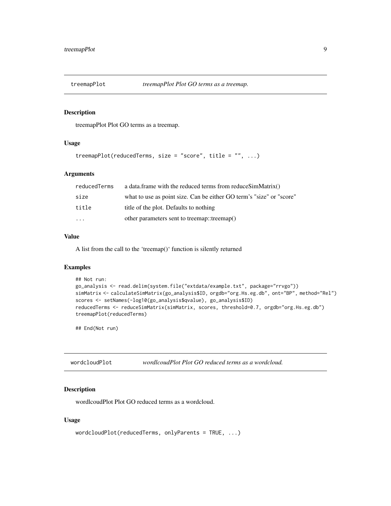<span id="page-8-0"></span>

treemapPlot Plot GO terms as a treemap.

#### Usage

```
treemapPlot(reducedTerms, size = "score", title = "", ...)
```
# Arguments

| reducedTerms            | a data.frame with the reduced terms from reduceSimMatrix()           |
|-------------------------|----------------------------------------------------------------------|
| size                    | what to use as point size. Can be either GO term's "size" or "score" |
| title                   | title of the plot. Defaults to nothing                               |
| $\cdot$ $\cdot$ $\cdot$ | other parameters sent to treemap::treemap()                          |

# Value

A list from the call to the 'treemap()' function is silently returned

# Examples

```
## Not run:
go_analysis <- read.delim(system.file("extdata/example.txt", package="rrvgo"))
simMatrix <- calculateSimMatrix(go_analysis$ID, orgdb="org.Hs.eg.db", ont="BP", method="Rel")
scores <- setNames(-log10(go_analysis$qvalue), go_analysis$ID)
reducedTerms <- reduceSimMatrix(simMatrix, scores, threshold=0.7, orgdb="org.Hs.eg.db")
treemapPlot(reducedTerms)
```
## End(Not run)

wordcloudPlot *wordlcoudPlot Plot GO reduced terms as a wordcloud.*

# Description

wordlcoudPlot Plot GO reduced terms as a wordcloud.

# Usage

```
wordcloudPlot(reducedTerms, onlyParents = TRUE, ...)
```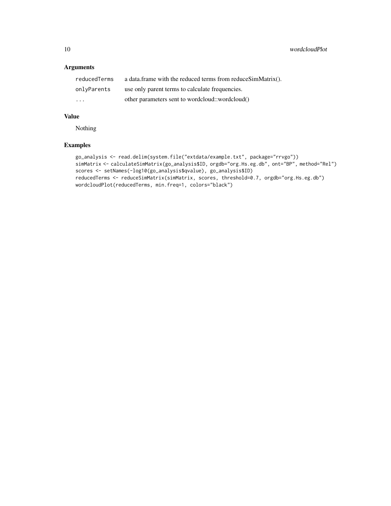# Arguments

| reducedTerms            | a data.frame with the reduced terms from reduceSimMatrix(). |
|-------------------------|-------------------------------------------------------------|
| onlyParents             | use only parent terms to calculate frequencies.             |
| $\cdot$ $\cdot$ $\cdot$ | other parameters sent to wordcloud::wordcloud()             |

# Value

Nothing

# Examples

```
go_analysis <- read.delim(system.file("extdata/example.txt", package="rrvgo"))
simMatrix <- calculateSimMatrix(go_analysis$ID, orgdb="org.Hs.eg.db", ont="BP", method="Rel")
scores <- setNames(-log10(go_analysis$qvalue), go_analysis$ID)
reducedTerms <- reduceSimMatrix(simMatrix, scores, threshold=0.7, orgdb="org.Hs.eg.db")
wordcloudPlot(reducedTerms, min.freq=1, colors="black")
```